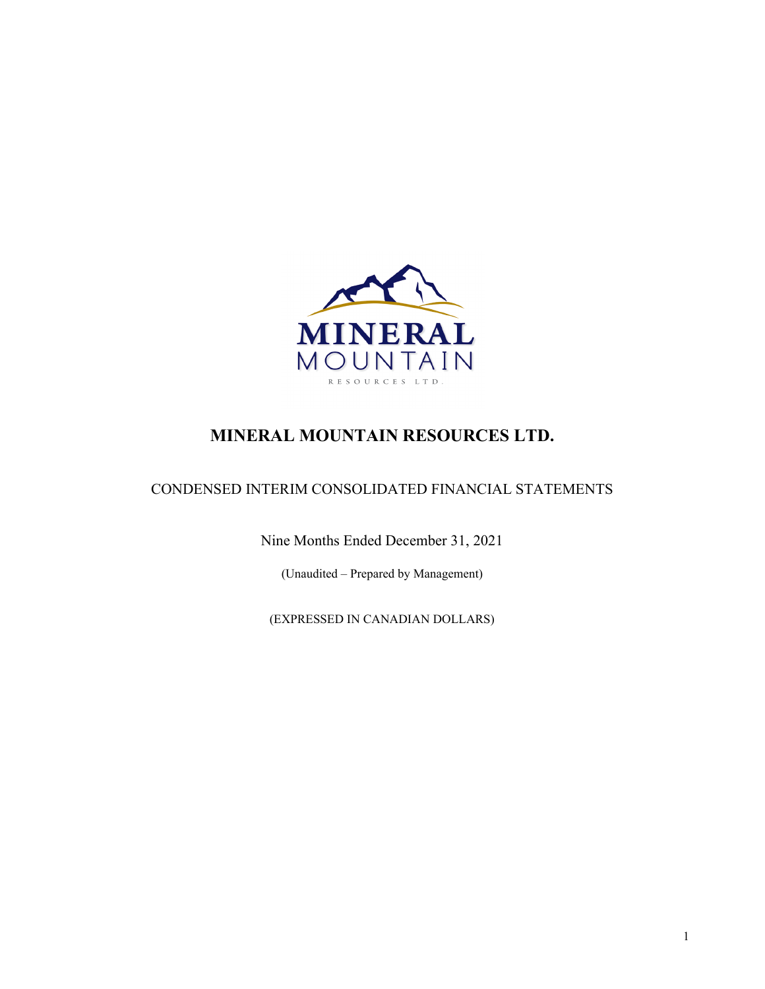

# **MINERAL MOUNTAIN RESOURCES LTD.**

## CONDENSED INTERIM CONSOLIDATED FINANCIAL STATEMENTS

Nine Months Ended December 31, 2021

(Unaudited – Prepared by Management)

(EXPRESSED IN CANADIAN DOLLARS)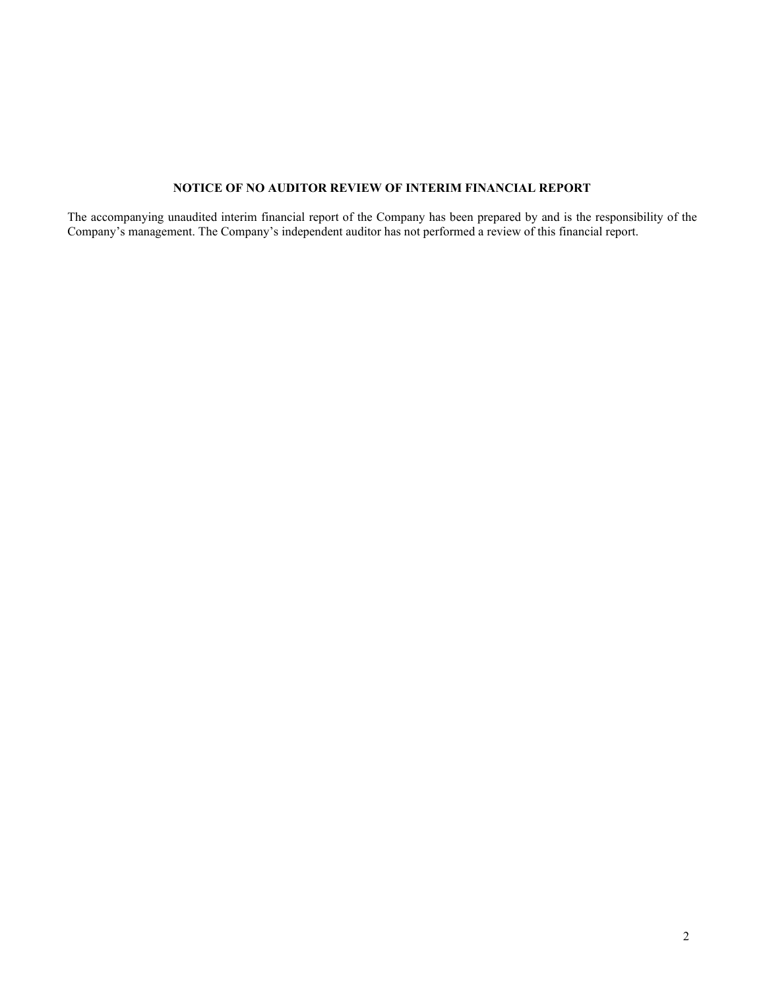## **NOTICE OF NO AUDITOR REVIEW OF INTERIM FINANCIAL REPORT**

The accompanying unaudited interim financial report of the Company has been prepared by and is the responsibility of the Company's management. The Company's independent auditor has not performed a review of this financial report.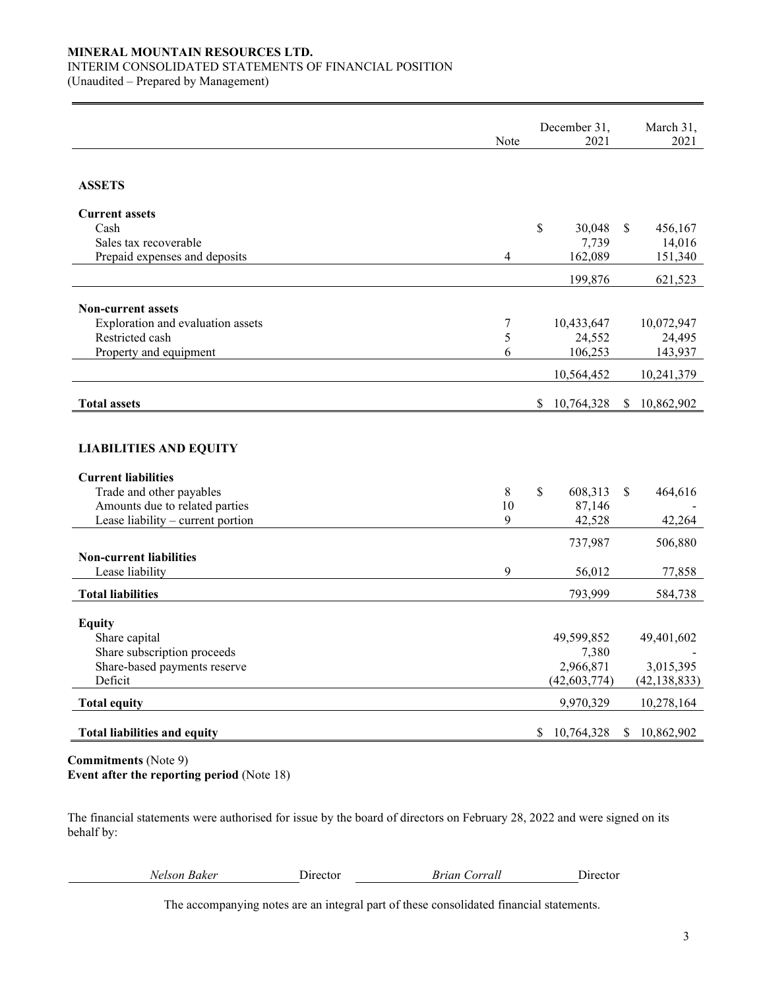## **MINERAL MOUNTAIN RESOURCES LTD.**

### INTERIM CONSOLIDATED STATEMENTS OF FINANCIAL POSITION

(Unaudited – Prepared by Management)

|                                                   | Note           | December 31,<br>2021    | March 31,<br>2021 |
|---------------------------------------------------|----------------|-------------------------|-------------------|
| <b>ASSETS</b>                                     |                |                         |                   |
| <b>Current assets</b>                             |                |                         |                   |
| Cash                                              |                | \$<br>30,048            | \$<br>456,167     |
| Sales tax recoverable                             |                | 7,739                   | 14,016            |
| Prepaid expenses and deposits                     | $\overline{4}$ | 162,089                 | 151,340           |
|                                                   |                | 199,876                 | 621,523           |
| <b>Non-current assets</b>                         |                |                         |                   |
| Exploration and evaluation assets                 | 7              | 10,433,647              | 10,072,947        |
| Restricted cash                                   | 5              | 24,552                  | 24,495            |
| Property and equipment                            | 6              | 106,253                 | 143,937           |
|                                                   |                | 10,564,452              | 10,241,379        |
| <b>Total assets</b>                               |                | \$.<br>10,764,328       | \$<br>10,862,902  |
|                                                   |                |                         |                   |
| <b>LIABILITIES AND EQUITY</b>                     |                |                         |                   |
| <b>Current liabilities</b>                        |                |                         |                   |
| Trade and other payables                          | 8              | $\mathbb{S}$<br>608,313 | \$<br>464,616     |
| Amounts due to related parties                    | 10<br>9        | 87,146                  |                   |
| Lease liability - current portion                 |                | 42,528                  | 42,264            |
|                                                   |                | 737,987                 | 506,880           |
| <b>Non-current liabilities</b><br>Lease liability | 9              | 56,012                  | 77,858            |
|                                                   |                |                         |                   |
| <b>Total liabilities</b>                          |                | 793,999                 | 584,738           |
| <b>Equity</b>                                     |                |                         |                   |
| Share capital                                     |                | 49,599,852              | 49,401,602        |
| Share subscription proceeds                       |                | 7,380                   |                   |
| Share-based payments reserve                      |                | 2,966,871               | 3,015,395         |
| Deficit                                           |                | (42, 603, 774)          | (42, 138, 833)    |
| <b>Total equity</b>                               |                | 9,970,329               | 10,278,164        |
| <b>Total liabilities and equity</b>               |                | 10,764,328<br>\$        | 10,862,902<br>\$  |
|                                                   |                |                         |                   |

**Commitments** (Note 9) **Event after the reporting period** (Note 18)

The financial statements were authorised for issue by the board of directors on February 28, 2022 and were signed on its behalf by:

| Velson Bakeı |  |
|--------------|--|
|              |  |

*Nelson Baker* Director *Brian Corrall* Director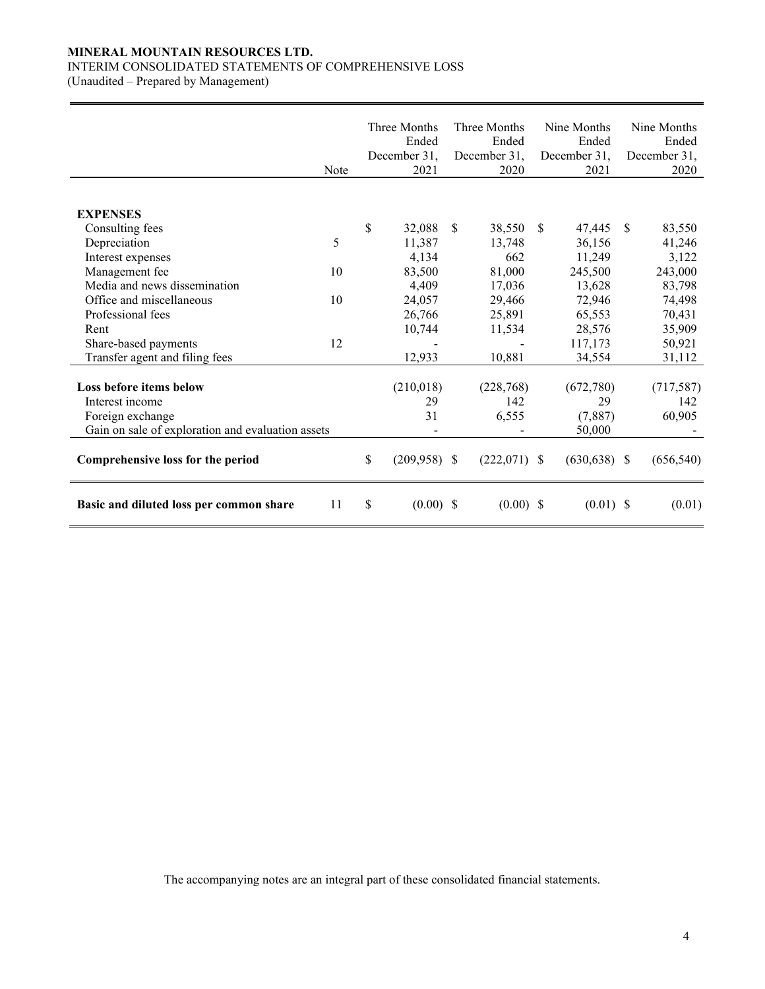## **MINERAL MOUNTAIN RESOURCES LTD.**

### INTERIM CONSOLIDATED STATEMENTS OF COMPREHENSIVE LOSS

(Unaudited – Prepared by Management)

|                                                   | Note | Three Months<br>Ended<br>December 31,<br>2021 |               | Three Months<br>Ended<br>December 31,<br>2020 |               | Nine Months<br>Ended<br>December 31,<br>2021 |              | Nine Months<br>Ended<br>December 31,<br>2020 |
|---------------------------------------------------|------|-----------------------------------------------|---------------|-----------------------------------------------|---------------|----------------------------------------------|--------------|----------------------------------------------|
| <b>EXPENSES</b>                                   |      |                                               |               |                                               |               |                                              |              |                                              |
| Consulting fees                                   |      | \$<br>32,088                                  | <sup>\$</sup> | 38,550                                        | <sup>\$</sup> | 47,445                                       | <sup>S</sup> | 83,550                                       |
| Depreciation                                      | 5    | 11,387                                        |               | 13,748                                        |               | 36,156                                       |              | 41,246                                       |
| Interest expenses                                 |      | 4,134                                         |               | 662                                           |               | 11,249                                       |              | 3,122                                        |
| Management fee                                    | 10   | 83,500                                        |               | 81,000                                        |               | 245,500                                      |              | 243,000                                      |
| Media and news dissemination                      |      | 4,409                                         |               | 17,036                                        |               | 13,628                                       |              | 83,798                                       |
| Office and miscellaneous                          | 10   | 24,057                                        |               | 29,466                                        |               | 72,946                                       |              | 74,498                                       |
| Professional fees                                 |      | 26,766                                        |               | 25,891                                        |               | 65,553                                       |              | 70,431                                       |
| Rent                                              |      | 10,744                                        |               | 11,534                                        |               | 28,576                                       |              | 35,909                                       |
| Share-based payments                              | 12   |                                               |               |                                               |               | 117,173                                      |              | 50,921                                       |
| Transfer agent and filing fees                    |      | 12,933                                        |               | 10,881                                        |               | 34,554                                       |              | 31,112                                       |
|                                                   |      |                                               |               |                                               |               |                                              |              |                                              |
| Loss before items below                           |      | (210,018)                                     |               | (228, 768)                                    |               | (672,780)                                    |              | (717, 587)                                   |
| Interest income                                   |      | 29                                            |               | 142                                           |               | 29                                           |              | 142                                          |
| Foreign exchange                                  |      | 31                                            |               | 6,555                                         |               | (7,887)                                      |              | 60,905                                       |
| Gain on sale of exploration and evaluation assets |      |                                               |               |                                               |               | 50,000                                       |              |                                              |
| Comprehensive loss for the period                 |      | \$<br>$(209,958)$ \$                          |               | $(222,071)$ \$                                |               | $(630, 638)$ \$                              |              | (656, 540)                                   |
| Basic and diluted loss per common share           | 11   | \$<br>(0.00)                                  | -S            | $(0.00)$ \$                                   |               | $(0.01)$ \$                                  |              | (0.01)                                       |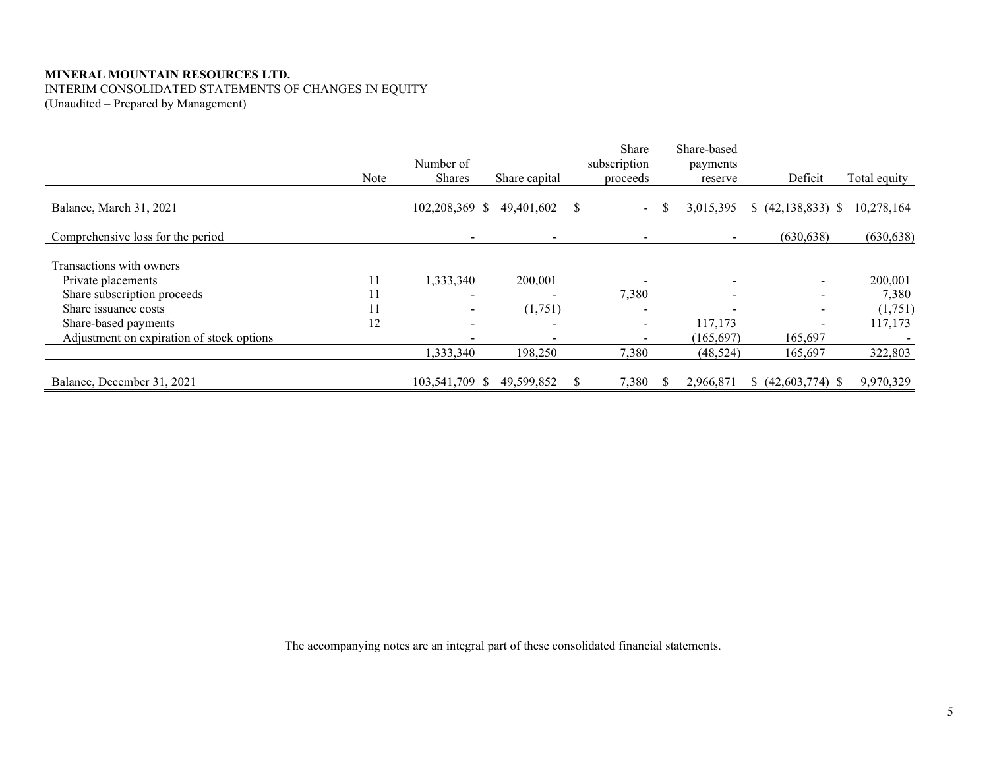## **MINERAL MOUNTAIN RESOURCES LTD.** INTERIM CONSOLIDATED STATEMENTS OF CHANGES IN EQUITY

(Unaudited – Prepared by Management)

|                                           | Note | Number of<br>Shares | Share capital | Share<br>subscription<br>proceeds |    | Share-based<br>payments<br>reserve | Deficit              | Total equity |
|-------------------------------------------|------|---------------------|---------------|-----------------------------------|----|------------------------------------|----------------------|--------------|
| Balance, March 31, 2021                   |      | 102,208,369 \$      | 49,401,602    | $\sim$                            | -S | 3,015,395                          | $(42,138,833)$ \$    | 10,278,164   |
| Comprehensive loss for the period         |      |                     |               |                                   |    | $\sim$                             | (630, 638)           | (630, 638)   |
| Transactions with owners                  |      |                     |               |                                   |    |                                    |                      |              |
| Private placements                        | 11   | 1,333,340           | 200,001       |                                   |    | $\overline{\phantom{a}}$           |                      | 200,001      |
| Share subscription proceeds               | 11   |                     |               | 7,380                             |    | $\overline{\phantom{a}}$           |                      | 7,380        |
| Share issuance costs                      | 11   |                     | (1,751)       |                                   |    | $\overline{\phantom{0}}$           |                      | (1,751)      |
| Share-based payments                      | 12   |                     |               | $\overline{\phantom{a}}$          |    | 117,173                            |                      | 117,173      |
| Adjustment on expiration of stock options |      |                     |               |                                   |    | (165, 697)                         | 165,697              |              |
|                                           |      | 1,333,340           | 198,250       | 7,380                             |    | (48, 524)                          | 165,697              | 322,803      |
| Balance, December 31, 2021                |      | 103,541,709 \$      | 49,599,852    | 7,380                             | S. | 2,966,871                          | $$ (42,603,774)$ \\$ | 9,970,329    |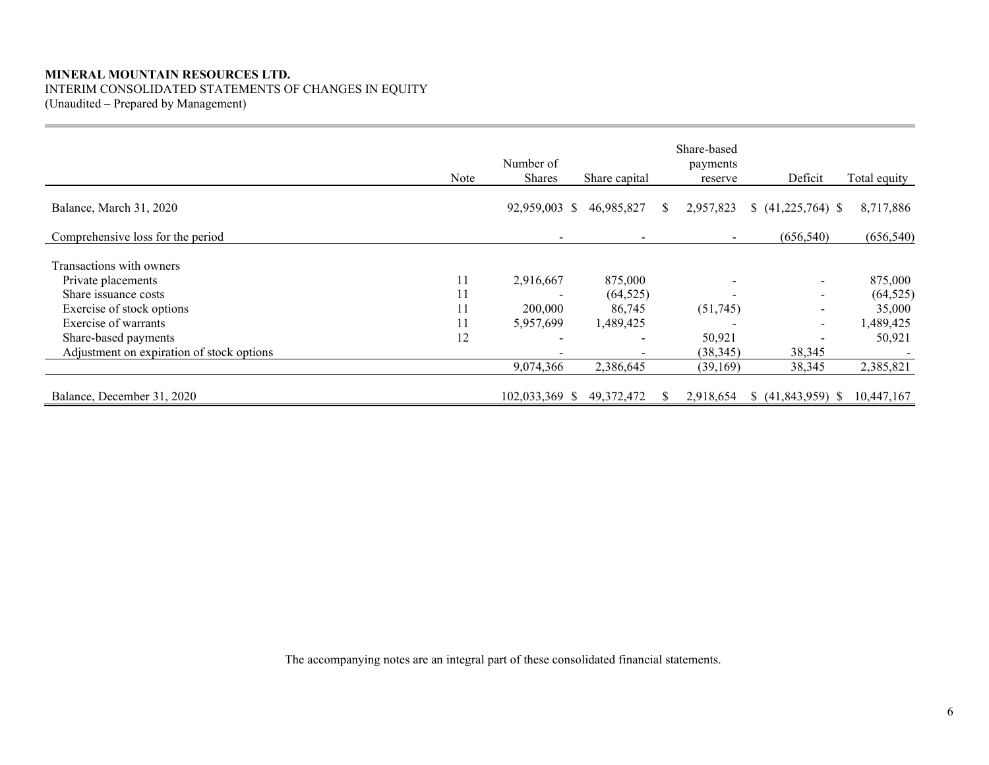## **MINERAL MOUNTAIN RESOURCES LTD.** INTERIM CONSOLIDATED STATEMENTS OF CHANGES IN EQUITY

(Unaudited – Prepared by Management)

|                                           | Note | Number of<br>Shares         | Share capital |    | Share-based<br>payments<br>reserve | Deficit                  | Total equity       |
|-------------------------------------------|------|-----------------------------|---------------|----|------------------------------------|--------------------------|--------------------|
| Balance, March 31, 2020                   |      | 92,959,003 \$               | 46,985,827    | S. | 2,957,823                          | $(41,225,764)$ \$        | 8,717,886          |
| Comprehensive loss for the period         |      |                             |               |    |                                    | (656, 540)               | (656, 540)         |
| Transactions with owners                  |      |                             |               |    |                                    |                          |                    |
| Private placements                        | 11   | 2,916,667                   | 875,000       |    |                                    |                          | 875,000            |
| Share issuance costs                      |      |                             | (64, 525)     |    |                                    |                          | (64, 525)          |
| Exercise of stock options                 | 11   | 200,000                     | 86,745        |    | (51,745)                           |                          | 35,000             |
| Exercise of warrants                      | 11   | 5,957,699                   | 1,489,425     |    |                                    | $\overline{\phantom{a}}$ | 1,489,425          |
| Share-based payments                      | 12   | $\overline{\phantom{a}}$    |               |    | 50,921                             |                          | 50,921             |
| Adjustment on expiration of stock options |      |                             |               |    | (38, 345)                          | 38,345                   |                    |
|                                           |      | 9,074,366                   | 2,386,645     |    | (39,169)                           | 38,345                   | 2,385,821          |
| Balance, December 31, 2020                |      | 102,033,369<br><sup>S</sup> | 49, 372, 472  | S. | 2,918,654                          | (41,843,959)             | 10,447,167<br>- 55 |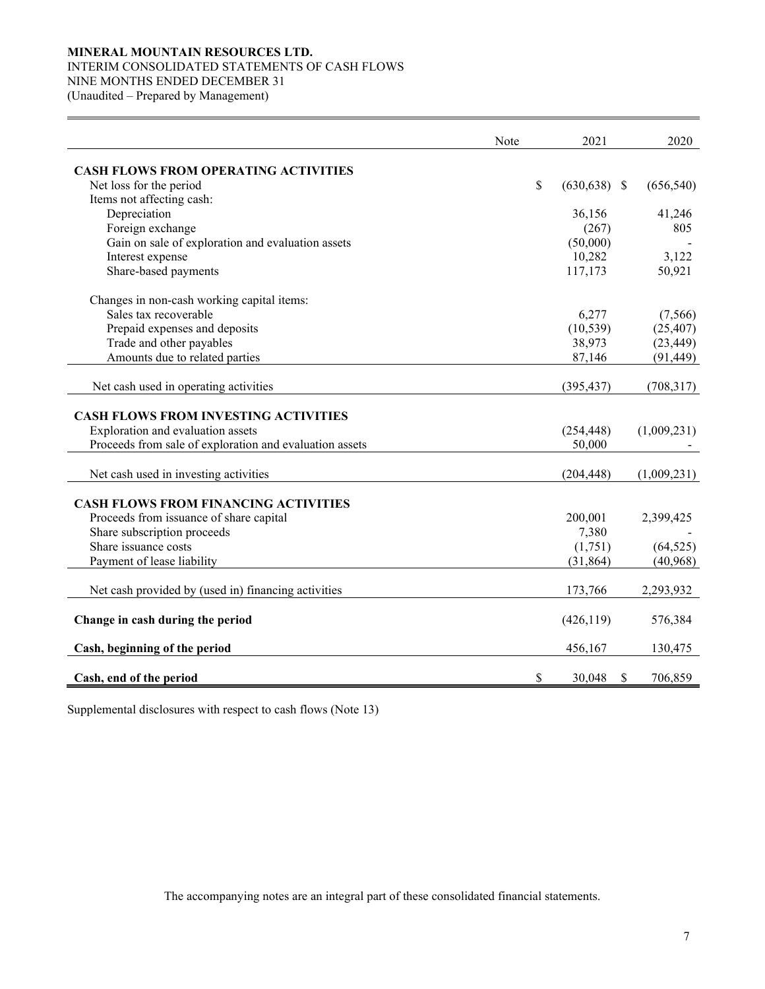### **MINERAL MOUNTAIN RESOURCES LTD.**

### INTERIM CONSOLIDATED STATEMENTS OF CASH FLOWS

NINE MONTHS ENDED DECEMBER 31

(Unaudited – Prepared by Management)

|                                                         | Note | 2021                  | 2020          |
|---------------------------------------------------------|------|-----------------------|---------------|
| <b>CASH FLOWS FROM OPERATING ACTIVITIES</b>             |      |                       |               |
| Net loss for the period                                 |      | \$<br>$(630, 638)$ \$ | (656, 540)    |
| Items not affecting cash:                               |      |                       |               |
| Depreciation                                            |      | 36,156                | 41,246        |
| Foreign exchange                                        |      | (267)                 | 805           |
| Gain on sale of exploration and evaluation assets       |      | (50,000)              |               |
| Interest expense                                        |      | 10,282                | 3,122         |
| Share-based payments                                    |      | 117,173               | 50,921        |
| Changes in non-cash working capital items:              |      |                       |               |
| Sales tax recoverable                                   |      | 6,277                 | (7,566)       |
| Prepaid expenses and deposits                           |      | (10, 539)             | (25, 407)     |
| Trade and other payables                                |      | 38,973                | (23, 449)     |
| Amounts due to related parties                          |      | 87,146                | (91, 449)     |
| Net cash used in operating activities                   |      | (395, 437)            | (708, 317)    |
| <b>CASH FLOWS FROM INVESTING ACTIVITIES</b>             |      |                       |               |
| Exploration and evaluation assets                       |      | (254, 448)            | (1,009,231)   |
| Proceeds from sale of exploration and evaluation assets |      | 50,000                |               |
| Net cash used in investing activities                   |      | (204, 448)            | (1,009,231)   |
| <b>CASH FLOWS FROM FINANCING ACTIVITIES</b>             |      |                       |               |
| Proceeds from issuance of share capital                 |      | 200,001               | 2,399,425     |
| Share subscription proceeds                             |      | 7,380                 |               |
| Share issuance costs                                    |      | (1,751)               | (64, 525)     |
| Payment of lease liability                              |      | (31, 864)             | (40, 968)     |
| Net cash provided by (used in) financing activities     |      | 173,766               | 2,293,932     |
| Change in cash during the period                        |      | (426, 119)            | 576,384       |
| Cash, beginning of the period                           |      | 456,167               | 130,475       |
| Cash, end of the period                                 |      | \$<br>30,048          | \$<br>706,859 |

Supplemental disclosures with respect to cash flows (Note 13)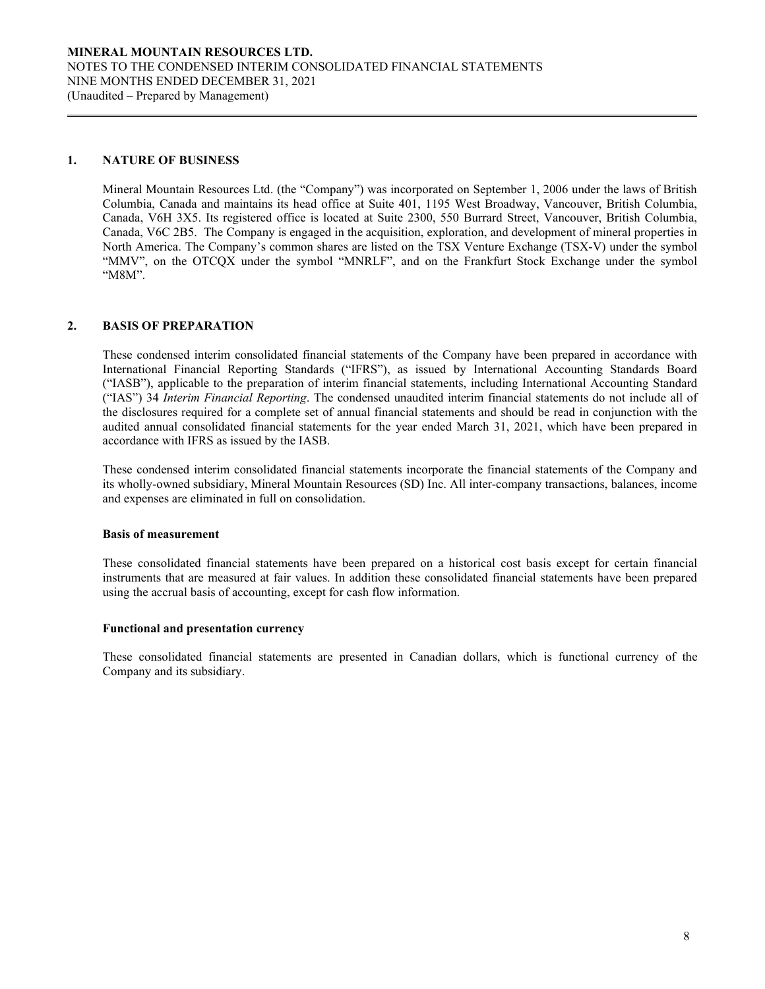### **1. NATURE OF BUSINESS**

Mineral Mountain Resources Ltd. (the "Company") was incorporated on September 1, 2006 under the laws of British Columbia, Canada and maintains its head office at Suite 401, 1195 West Broadway, Vancouver, British Columbia, Canada, V6H 3X5. Its registered office is located at Suite 2300, 550 Burrard Street, Vancouver, British Columbia, Canada, V6C 2B5. The Company is engaged in the acquisition, exploration, and development of mineral properties in North America. The Company's common shares are listed on the TSX Venture Exchange (TSX-V) under the symbol "MMV", on the OTCQX under the symbol "MNRLF", and on the Frankfurt Stock Exchange under the symbol "M8M".

### **2. BASIS OF PREPARATION**

These condensed interim consolidated financial statements of the Company have been prepared in accordance with International Financial Reporting Standards ("IFRS"), as issued by International Accounting Standards Board ("IASB"), applicable to the preparation of interim financial statements, including International Accounting Standard ("IAS") 34 *Interim Financial Reporting*. The condensed unaudited interim financial statements do not include all of the disclosures required for a complete set of annual financial statements and should be read in conjunction with the audited annual consolidated financial statements for the year ended March 31, 2021, which have been prepared in accordance with IFRS as issued by the IASB.

These condensed interim consolidated financial statements incorporate the financial statements of the Company and its wholly-owned subsidiary, Mineral Mountain Resources (SD) Inc. All inter-company transactions, balances, income and expenses are eliminated in full on consolidation.

#### **Basis of measurement**

These consolidated financial statements have been prepared on a historical cost basis except for certain financial instruments that are measured at fair values. In addition these consolidated financial statements have been prepared using the accrual basis of accounting, except for cash flow information.

### **Functional and presentation currency**

These consolidated financial statements are presented in Canadian dollars, which is functional currency of the Company and its subsidiary.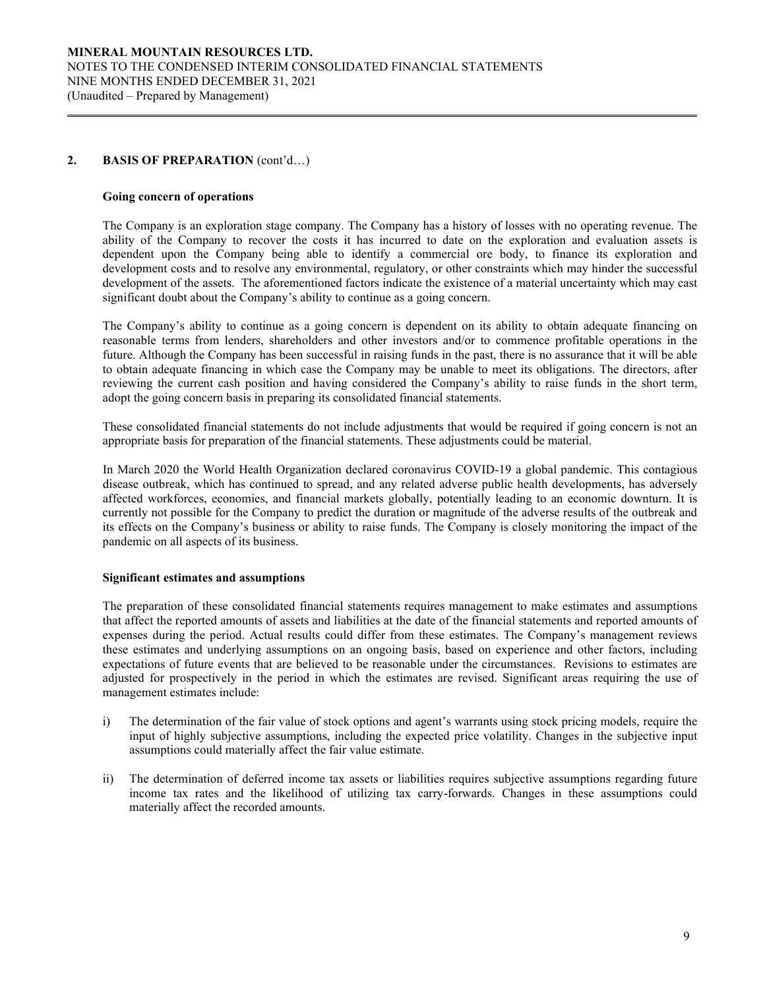### **2. BASIS OF PREPARATION** (cont'd…)

### **Going concern of operations**

The Company is an exploration stage company. The Company has a history of losses with no operating revenue. The ability of the Company to recover the costs it has incurred to date on the exploration and evaluation assets is dependent upon the Company being able to identify a commercial ore body, to finance its exploration and development costs and to resolve any environmental, regulatory, or other constraints which may hinder the successful development of the assets. The aforementioned factors indicate the existence of a material uncertainty which may cast significant doubt about the Company's ability to continue as a going concern.

The Company's ability to continue as a going concern is dependent on its ability to obtain adequate financing on reasonable terms from lenders, shareholders and other investors and/or to commence profitable operations in the future. Although the Company has been successful in raising funds in the past, there is no assurance that it will be able to obtain adequate financing in which case the Company may be unable to meet its obligations. The directors, after reviewing the current cash position and having considered the Company's ability to raise funds in the short term, adopt the going concern basis in preparing its consolidated financial statements.

These consolidated financial statements do not include adjustments that would be required if going concern is not an appropriate basis for preparation of the financial statements. These adjustments could be material.

In March 2020 the World Health Organization declared coronavirus COVID-19 a global pandemic. This contagious disease outbreak, which has continued to spread, and any related adverse public health developments, has adversely affected workforces, economies, and financial markets globally, potentially leading to an economic downturn. It is currently not possible for the Company to predict the duration or magnitude of the adverse results of the outbreak and its effects on the Company's business or ability to raise funds. The Company is closely monitoring the impact of the pandemic on all aspects of its business.

### **Significant estimates and assumptions**

The preparation of these consolidated financial statements requires management to make estimates and assumptions that affect the reported amounts of assets and liabilities at the date of the financial statements and reported amounts of expenses during the period. Actual results could differ from these estimates. The Company's management reviews these estimates and underlying assumptions on an ongoing basis, based on experience and other factors, including expectations of future events that are believed to be reasonable under the circumstances. Revisions to estimates are adjusted for prospectively in the period in which the estimates are revised. Significant areas requiring the use of management estimates include:

- i) The determination of the fair value of stock options and agent's warrants using stock pricing models, require the input of highly subjective assumptions, including the expected price volatility. Changes in the subjective input assumptions could materially affect the fair value estimate.
- ii) The determination of deferred income tax assets or liabilities requires subjective assumptions regarding future income tax rates and the likelihood of utilizing tax carry-forwards. Changes in these assumptions could materially affect the recorded amounts.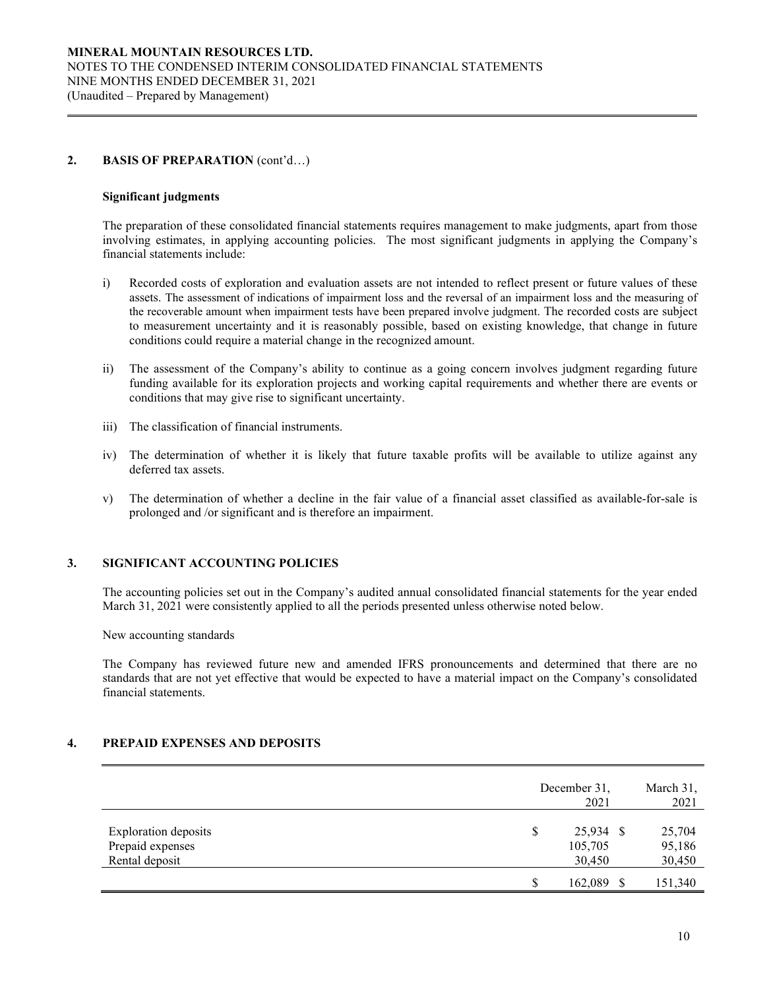### **2. BASIS OF PREPARATION** (cont'd…)

#### **Significant judgments**

The preparation of these consolidated financial statements requires management to make judgments, apart from those involving estimates, in applying accounting policies. The most significant judgments in applying the Company's financial statements include:

- i) Recorded costs of exploration and evaluation assets are not intended to reflect present or future values of these assets. The assessment of indications of impairment loss and the reversal of an impairment loss and the measuring of the recoverable amount when impairment tests have been prepared involve judgment. The recorded costs are subject to measurement uncertainty and it is reasonably possible, based on existing knowledge, that change in future conditions could require a material change in the recognized amount.
- ii) The assessment of the Company's ability to continue as a going concern involves judgment regarding future funding available for its exploration projects and working capital requirements and whether there are events or conditions that may give rise to significant uncertainty.
- iii) The classification of financial instruments.
- iv) The determination of whether it is likely that future taxable profits will be available to utilize against any deferred tax assets.
- v) The determination of whether a decline in the fair value of a financial asset classified as available-for-sale is prolonged and /or significant and is therefore an impairment.

### **3. SIGNIFICANT ACCOUNTING POLICIES**

The accounting policies set out in the Company's audited annual consolidated financial statements for the year ended March 31, 2021 were consistently applied to all the periods presented unless otherwise noted below.

New accounting standards

The Company has reviewed future new and amended IFRS pronouncements and determined that there are no standards that are not yet effective that would be expected to have a material impact on the Company's consolidated financial statements.

### **4. PREPAID EXPENSES AND DEPOSITS**

|                                                                   | December 31,<br>2021                            | March 31,<br>2021          |
|-------------------------------------------------------------------|-------------------------------------------------|----------------------------|
| <b>Exploration deposits</b><br>Prepaid expenses<br>Rental deposit | 25,934 \$<br><sup>\$</sup><br>105,705<br>30,450 | 25,704<br>95,186<br>30,450 |
|                                                                   | 162,089<br>S                                    | 151,340                    |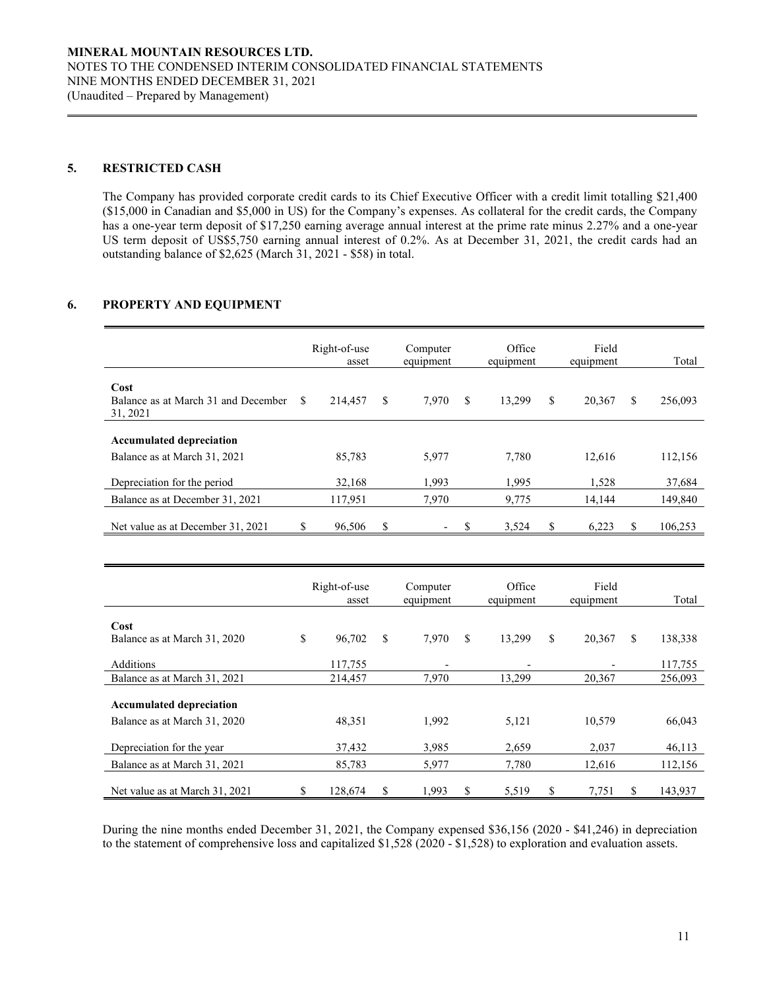### **5. RESTRICTED CASH**

The Company has provided corporate credit cards to its Chief Executive Officer with a credit limit totalling \$21,400 (\$15,000 in Canadian and \$5,000 in US) for the Company's expenses. As collateral for the credit cards, the Company has a one-year term deposit of \$17,250 earning average annual interest at the prime rate minus 2.27% and a one-year US term deposit of US\$5,750 earning annual interest of 0.2%. As at December 31, 2021, the credit cards had an outstanding balance of \$2,625 (March 31, 2021 - \$58) in total.

### **6. PROPERTY AND EQUIPMENT**

|                                                         |   | Right-of-use<br>asset |   | Computer<br>equipment    |     | Office<br>equipment | Field<br>equipment |   | Total   |
|---------------------------------------------------------|---|-----------------------|---|--------------------------|-----|---------------------|--------------------|---|---------|
| Cost<br>Balance as at March 31 and December<br>31, 2021 | S | 214,457               | S | 7,970                    | S   | 13.299              | \$<br>20,367       | S | 256,093 |
|                                                         |   |                       |   |                          |     |                     |                    |   |         |
| <b>Accumulated depreciation</b>                         |   |                       |   |                          |     |                     |                    |   |         |
| Balance as at March 31, 2021                            |   | 85,783                |   | 5,977                    |     | 7,780               | 12,616             |   | 112,156 |
| Depreciation for the period                             |   | 32.168                |   | 1.993                    |     | 1.995               | 1,528              |   | 37,684  |
| Balance as at December 31, 2021                         |   | 117.951               |   | 7.970                    |     | 9.775               | 14.144             |   | 149,840 |
|                                                         |   |                       |   |                          |     |                     |                    |   |         |
| Net value as at December 31, 2021                       | S | 96,506                | S | $\overline{\phantom{a}}$ | \$. | 3,524               | \$<br>6,223        | S | 106,253 |

|                                                                 | Right-of-use<br>asset |    | Computer<br>equipment    |    | Office<br>equipment | Field<br>equipment | Total         |
|-----------------------------------------------------------------|-----------------------|----|--------------------------|----|---------------------|--------------------|---------------|
| Cost                                                            |                       |    |                          |    |                     |                    |               |
| Balance as at March 31, 2020                                    | \$<br>96,702          | \$ | 7,970                    | \$ | 13,299              | \$<br>20,367       | \$<br>138,338 |
| Additions                                                       | 117,755               |    | $\overline{\phantom{0}}$ |    |                     |                    | 117,755       |
| Balance as at March 31, 2021                                    | 214,457               |    | 7,970                    |    | 13,299              | 20,367             | 256,093       |
| <b>Accumulated depreciation</b><br>Balance as at March 31, 2020 | 48,351                |    | 1,992                    |    | 5,121               | 10,579             | 66,043        |
|                                                                 |                       |    |                          |    |                     |                    |               |
| Depreciation for the year                                       | 37,432                |    | 3,985                    |    | 2,659               | 2,037              | 46,113        |
| Balance as at March 31, 2021                                    | 85,783                |    | 5,977                    |    | 7.780               | 12.616             | 112,156       |
| Net value as at March 31, 2021                                  | \$<br>128,674         | S  | 1,993                    | S  | 5,519               | \$<br>7,751        | \$<br>143,937 |

During the nine months ended December 31, 2021, the Company expensed \$36,156 (2020 - \$41,246) in depreciation to the statement of comprehensive loss and capitalized \$1,528 (2020 - \$1,528) to exploration and evaluation assets.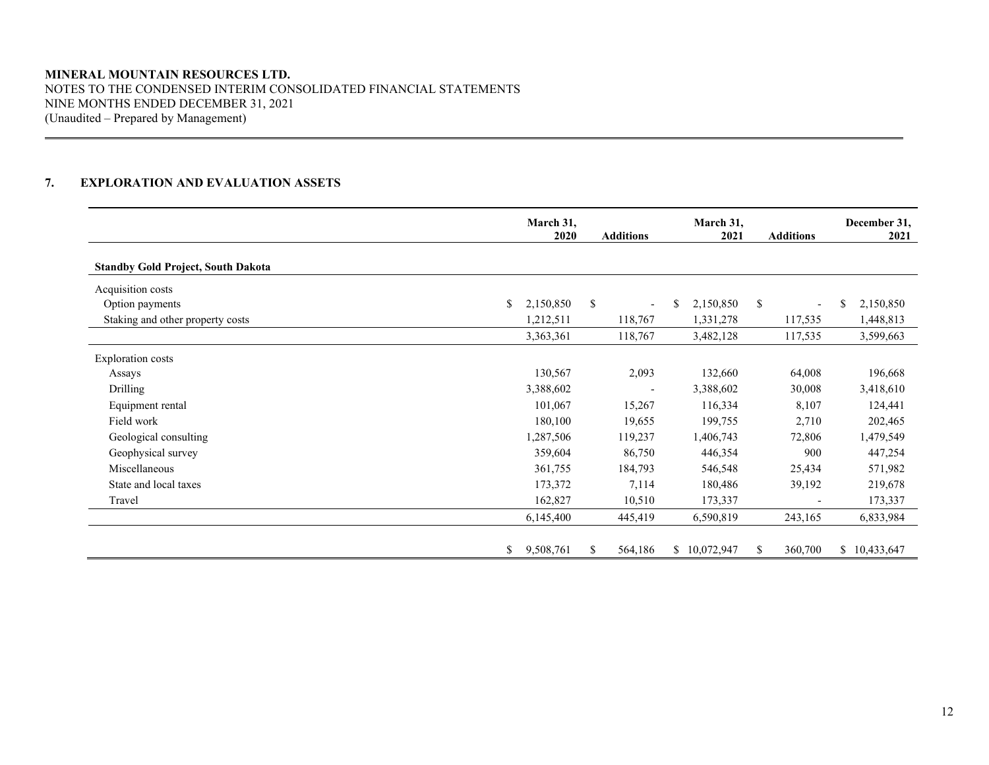### **MINERAL MOUNTAIN RESOURCES LTD.** NOTES TO THE CONDENSED INTERIM CONSOLIDATED FINANCIAL STATEMENTS NINE MONTHS ENDED DECEMBER 31, 2021 (Unaudited – Prepared by Management)

## **7. EXPLORATION AND EVALUATION ASSETS**

|                                           | March 31,<br>2020 |    | <b>Additions</b>         | March 31,<br>2021 |    | <b>Additions</b>         |   | December 31,<br>2021 |
|-------------------------------------------|-------------------|----|--------------------------|-------------------|----|--------------------------|---|----------------------|
| <b>Standby Gold Project, South Dakota</b> |                   |    |                          |                   |    |                          |   |                      |
| Acquisition costs                         |                   |    |                          |                   |    |                          |   |                      |
| \$<br>Option payments                     | 2,150,850         | \$ | $\overline{\phantom{a}}$ | \$<br>2,150,850   | \$ | $\overline{\phantom{a}}$ | S | 2,150,850            |
| Staking and other property costs          | 1,212,511         |    | 118,767                  | 1,331,278         |    | 117,535                  |   | 1,448,813            |
|                                           | 3,363,361         |    | 118,767                  | 3,482,128         |    | 117,535                  |   | 3,599,663            |
| <b>Exploration costs</b>                  |                   |    |                          |                   |    |                          |   |                      |
| Assays                                    | 130,567           |    | 2,093                    | 132,660           |    | 64,008                   |   | 196,668              |
| Drilling                                  | 3,388,602         |    | $\overline{\phantom{a}}$ | 3,388,602         |    | 30,008                   |   | 3,418,610            |
| Equipment rental                          | 101,067           |    | 15,267                   | 116,334           |    | 8,107                    |   | 124,441              |
| Field work                                | 180,100           |    | 19,655                   | 199,755           |    | 2,710                    |   | 202,465              |
| Geological consulting                     | 1,287,506         |    | 119,237                  | 1,406,743         |    | 72,806                   |   | 1,479,549            |
| Geophysical survey                        | 359,604           |    | 86,750                   | 446,354           |    | 900                      |   | 447,254              |
| Miscellaneous                             | 361,755           |    | 184,793                  | 546,548           |    | 25,434                   |   | 571,982              |
| State and local taxes                     | 173,372           |    | 7,114                    | 180,486           |    | 39,192                   |   | 219,678              |
| Travel                                    | 162,827           |    | 10,510                   | 173,337           |    |                          |   | 173,337              |
|                                           | 6,145,400         |    | 445,419                  | 6,590,819         |    | 243,165                  |   | 6,833,984            |
| \$                                        | 9,508,761         | S. | 564,186                  | \$10,072,947      | S. | 360,700                  |   | \$10,433,647         |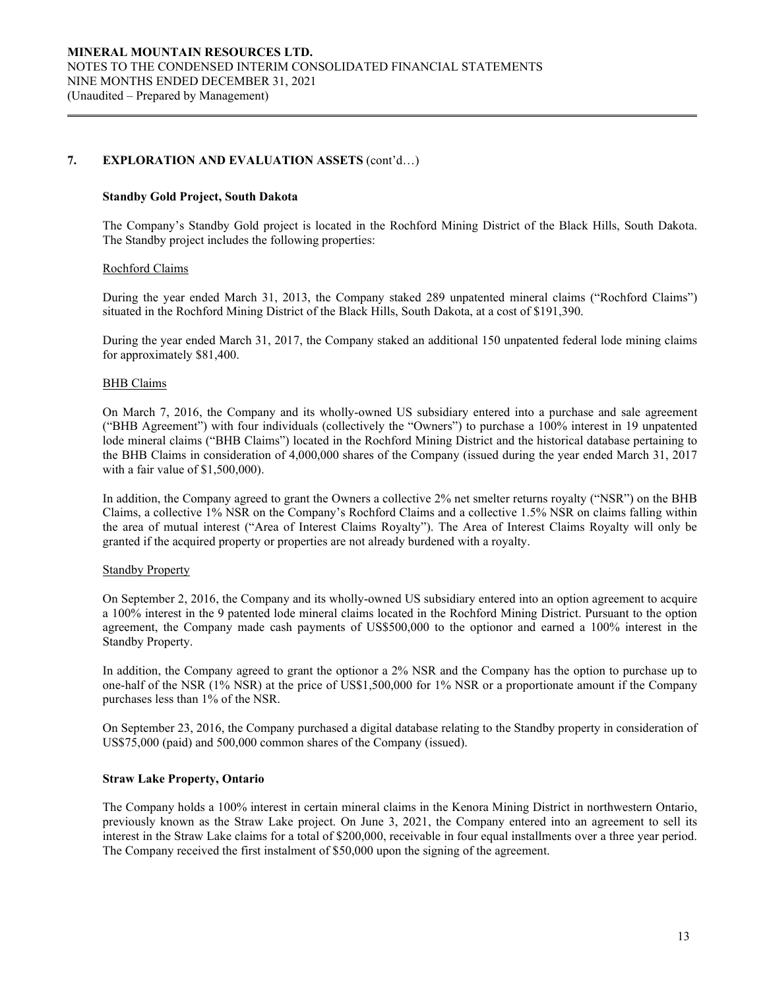### **7. EXPLORATION AND EVALUATION ASSETS** (cont'd…)

### **Standby Gold Project, South Dakota**

The Company's Standby Gold project is located in the Rochford Mining District of the Black Hills, South Dakota. The Standby project includes the following properties:

### Rochford Claims

During the year ended March 31, 2013, the Company staked 289 unpatented mineral claims ("Rochford Claims") situated in the Rochford Mining District of the Black Hills, South Dakota, at a cost of \$191,390.

During the year ended March 31, 2017, the Company staked an additional 150 unpatented federal lode mining claims for approximately \$81,400.

### BHB Claims

On March 7, 2016, the Company and its wholly-owned US subsidiary entered into a purchase and sale agreement ("BHB Agreement") with four individuals (collectively the "Owners") to purchase a 100% interest in 19 unpatented lode mineral claims ("BHB Claims") located in the Rochford Mining District and the historical database pertaining to the BHB Claims in consideration of 4,000,000 shares of the Company (issued during the year ended March 31, 2017 with a fair value of \$1,500,000).

In addition, the Company agreed to grant the Owners a collective 2% net smelter returns royalty ("NSR") on the BHB Claims, a collective 1% NSR on the Company's Rochford Claims and a collective 1.5% NSR on claims falling within the area of mutual interest ("Area of Interest Claims Royalty"). The Area of Interest Claims Royalty will only be granted if the acquired property or properties are not already burdened with a royalty.

### Standby Property

On September 2, 2016, the Company and its wholly-owned US subsidiary entered into an option agreement to acquire a 100% interest in the 9 patented lode mineral claims located in the Rochford Mining District. Pursuant to the option agreement, the Company made cash payments of US\$500,000 to the optionor and earned a 100% interest in the Standby Property.

In addition, the Company agreed to grant the optionor a 2% NSR and the Company has the option to purchase up to one-half of the NSR (1% NSR) at the price of US\$1,500,000 for 1% NSR or a proportionate amount if the Company purchases less than 1% of the NSR.

On September 23, 2016, the Company purchased a digital database relating to the Standby property in consideration of US\$75,000 (paid) and 500,000 common shares of the Company (issued).

### **Straw Lake Property, Ontario**

The Company holds a 100% interest in certain mineral claims in the Kenora Mining District in northwestern Ontario, previously known as the Straw Lake project. On June 3, 2021, the Company entered into an agreement to sell its interest in the Straw Lake claims for a total of \$200,000, receivable in four equal installments over a three year period. The Company received the first instalment of \$50,000 upon the signing of the agreement.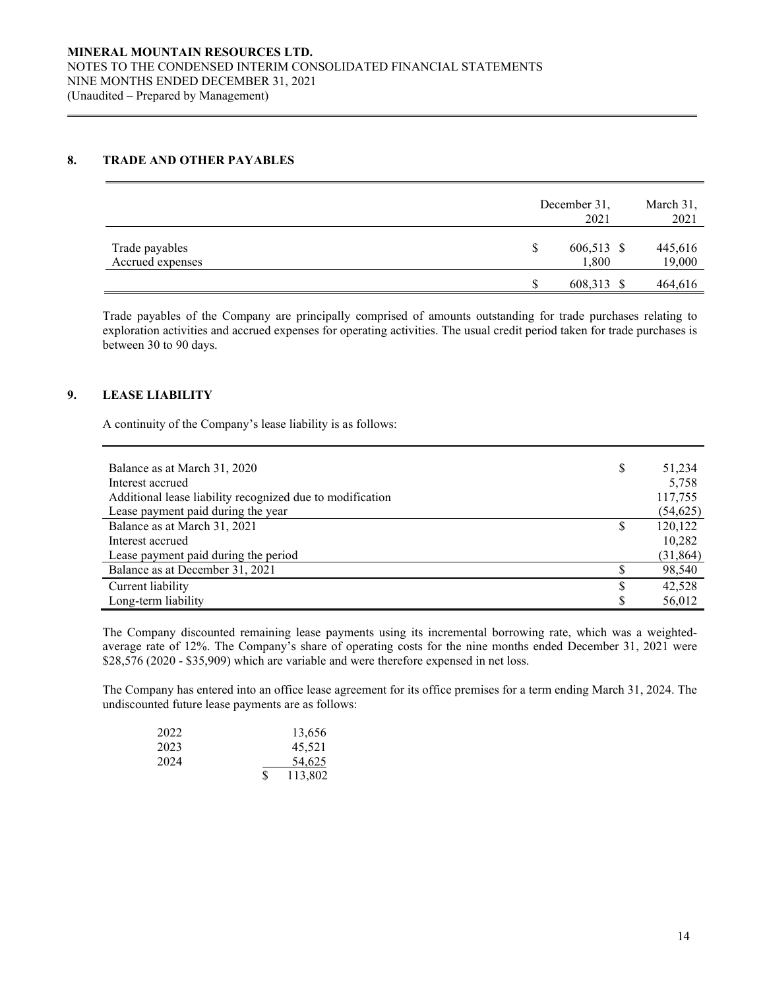### **8. TRADE AND OTHER PAYABLES**

|                                    | December 31,<br>2021      | March 31,<br>2021 |
|------------------------------------|---------------------------|-------------------|
| Trade payables<br>Accrued expenses | 606,513 \$<br>\$<br>1,800 | 445,616<br>19,000 |
|                                    | 608,313 \$<br>S           | 464,616           |

Trade payables of the Company are principally comprised of amounts outstanding for trade purchases relating to exploration activities and accrued expenses for operating activities. The usual credit period taken for trade purchases is between 30 to 90 days.

### **9. LEASE LIABILITY**

A continuity of the Company's lease liability is as follows:

| Balance as at March 31, 2020                              | \$ | 51,234    |
|-----------------------------------------------------------|----|-----------|
| Interest accrued                                          |    | 5,758     |
| Additional lease liability recognized due to modification |    | 117,755   |
| Lease payment paid during the year                        |    | (54, 625) |
| Balance as at March 31, 2021                              | S  | 120,122   |
| Interest accrued                                          |    | 10,282    |
| Lease payment paid during the period                      |    | (31, 864) |
| Balance as at December 31, 2021                           |    | 98,540    |
| Current liability                                         | S  | 42,528    |
| Long-term liability                                       |    | 56,012    |

The Company discounted remaining lease payments using its incremental borrowing rate, which was a weightedaverage rate of 12%. The Company's share of operating costs for the nine months ended December 31, 2021 were \$28,576 (2020 - \$35,909) which are variable and were therefore expensed in net loss.

The Company has entered into an office lease agreement for its office premises for a term ending March 31, 2024. The undiscounted future lease payments are as follows:

| 2022 |   | 13,656  |
|------|---|---------|
| 2023 |   | 45,521  |
| 2024 |   | 54.625  |
|      | S | 113,802 |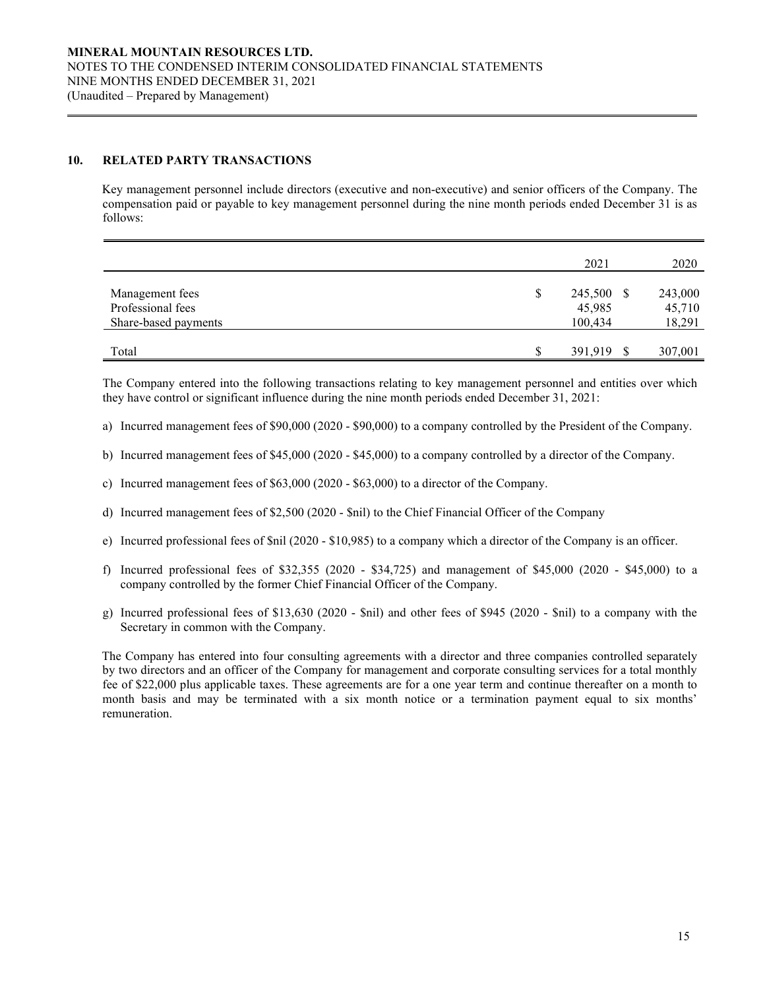### **10. RELATED PARTY TRANSACTIONS**

Key management personnel include directors (executive and non-executive) and senior officers of the Company. The compensation paid or payable to key management personnel during the nine month periods ended December 31 is as follows:

|                      |    | 2021       | 2020    |
|----------------------|----|------------|---------|
| Management fees      | \$ | 245,500 \$ | 243,000 |
| Professional fees    |    | 45,985     | 45,710  |
| Share-based payments |    | 100,434    | 18,291  |
| Total                | S  | 391,919    | 307,001 |
|                      |    |            |         |

The Company entered into the following transactions relating to key management personnel and entities over which they have control or significant influence during the nine month periods ended December 31, 2021:

a) Incurred management fees of \$90,000 (2020 - \$90,000) to a company controlled by the President of the Company.

- b) Incurred management fees of \$45,000 (2020 \$45,000) to a company controlled by a director of the Company.
- c) Incurred management fees of \$63,000 (2020 \$63,000) to a director of the Company.
- d) Incurred management fees of \$2,500 (2020 \$nil) to the Chief Financial Officer of the Company
- e) Incurred professional fees of \$nil (2020 \$10,985) to a company which a director of the Company is an officer.
- f) Incurred professional fees of \$32,355 (2020 \$34,725) and management of \$45,000 (2020 \$45,000) to a company controlled by the former Chief Financial Officer of the Company.
- g) Incurred professional fees of \$13,630 (2020 \$nil) and other fees of \$945 (2020 \$nil) to a company with the Secretary in common with the Company.

The Company has entered into four consulting agreements with a director and three companies controlled separately by two directors and an officer of the Company for management and corporate consulting services for a total monthly fee of \$22,000 plus applicable taxes. These agreements are for a one year term and continue thereafter on a month to month basis and may be terminated with a six month notice or a termination payment equal to six months' remuneration.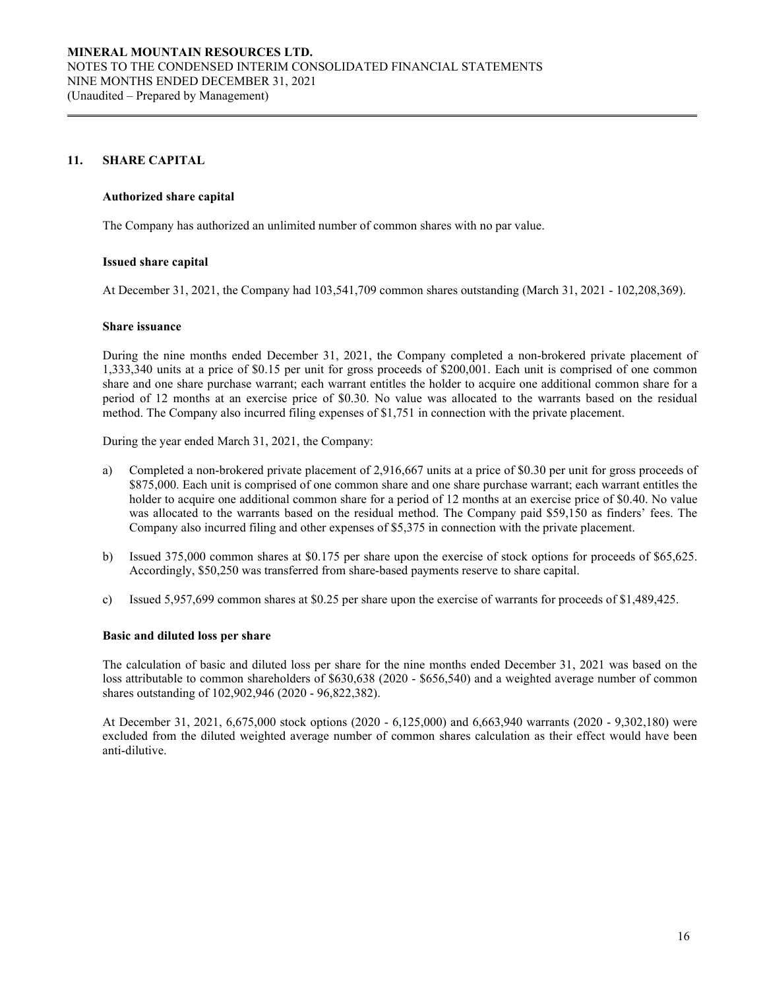### **11. SHARE CAPITAL**

### **Authorized share capital**

The Company has authorized an unlimited number of common shares with no par value.

#### **Issued share capital**

At December 31, 2021, the Company had 103,541,709 common shares outstanding (March 31, 2021 - 102,208,369).

#### **Share issuance**

During the nine months ended December 31, 2021, the Company completed a non-brokered private placement of 1,333,340 units at a price of \$0.15 per unit for gross proceeds of \$200,001. Each unit is comprised of one common share and one share purchase warrant; each warrant entitles the holder to acquire one additional common share for a period of 12 months at an exercise price of \$0.30. No value was allocated to the warrants based on the residual method. The Company also incurred filing expenses of \$1,751 in connection with the private placement.

During the year ended March 31, 2021, the Company:

- a) Completed a non-brokered private placement of 2,916,667 units at a price of \$0.30 per unit for gross proceeds of \$875,000. Each unit is comprised of one common share and one share purchase warrant; each warrant entitles the holder to acquire one additional common share for a period of 12 months at an exercise price of \$0.40. No value was allocated to the warrants based on the residual method. The Company paid \$59,150 as finders' fees. The Company also incurred filing and other expenses of \$5,375 in connection with the private placement.
- b) Issued 375,000 common shares at \$0.175 per share upon the exercise of stock options for proceeds of \$65,625. Accordingly, \$50,250 was transferred from share-based payments reserve to share capital.
- c) Issued 5,957,699 common shares at \$0.25 per share upon the exercise of warrants for proceeds of \$1,489,425.

### **Basic and diluted loss per share**

The calculation of basic and diluted loss per share for the nine months ended December 31, 2021 was based on the loss attributable to common shareholders of \$630,638 (2020 - \$656,540) and a weighted average number of common shares outstanding of 102,902,946 (2020 - 96,822,382).

At December 31, 2021, 6,675,000 stock options (2020 - 6,125,000) and 6,663,940 warrants (2020 - 9,302,180) were excluded from the diluted weighted average number of common shares calculation as their effect would have been anti-dilutive.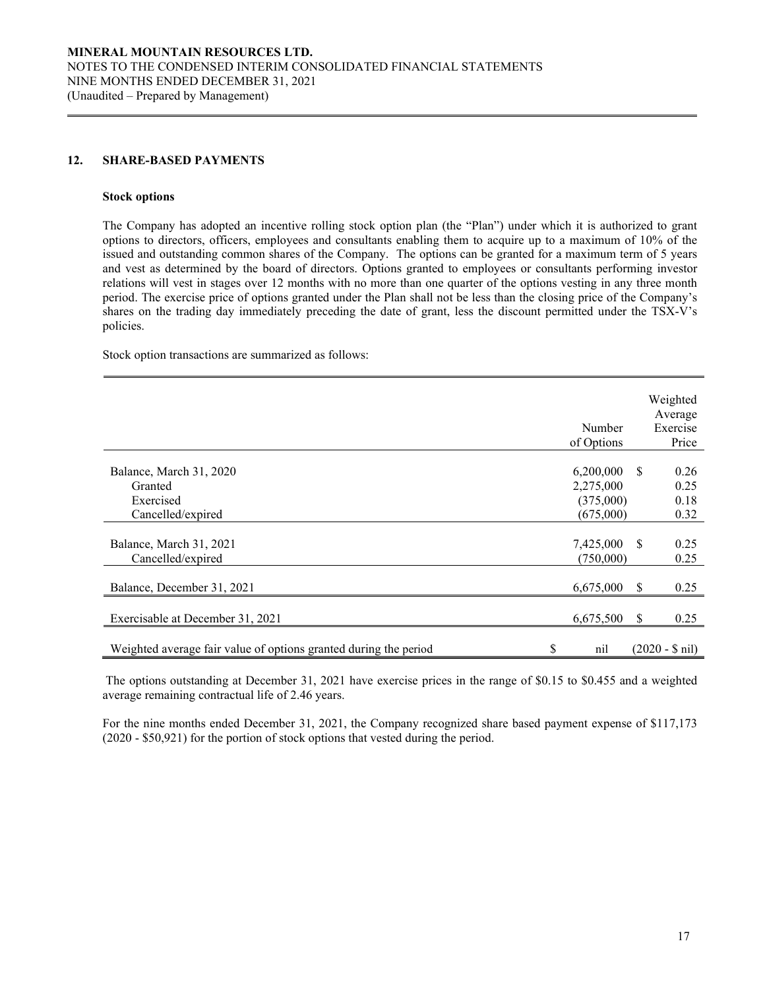### **12. SHARE-BASED PAYMENTS**

#### **Stock options**

The Company has adopted an incentive rolling stock option plan (the "Plan") under which it is authorized to grant options to directors, officers, employees and consultants enabling them to acquire up to a maximum of 10% of the issued and outstanding common shares of the Company. The options can be granted for a maximum term of 5 years and vest as determined by the board of directors. Options granted to employees or consultants performing investor relations will vest in stages over 12 months with no more than one quarter of the options vesting in any three month period. The exercise price of options granted under the Plan shall not be less than the closing price of the Company's shares on the trading day immediately preceding the date of grant, less the discount permitted under the TSX-V's policies.

Stock option transactions are summarized as follows:

|                                                                      | Number<br>of Options                             |    | Weighted<br>Average<br>Exercise<br>Price |
|----------------------------------------------------------------------|--------------------------------------------------|----|------------------------------------------|
| Balance, March 31, 2020<br>Granted<br>Exercised<br>Cancelled/expired | 6,200,000<br>2,275,000<br>(375,000)<br>(675,000) | -S | 0.26<br>0.25<br>0.18<br>0.32             |
| Balance, March 31, 2021<br>Cancelled/expired                         | 7,425,000<br>(750,000)                           | -S | 0.25<br>0.25                             |
| Balance, December 31, 2021                                           | 6,675,000                                        | S  | 0.25                                     |
| Exercisable at December 31, 2021                                     | 6,675,500                                        | S  | 0.25                                     |
| Weighted average fair value of options granted during the period     | \$<br>nil                                        |    | $(2020 - $ nil)$                         |

The options outstanding at December 31, 2021 have exercise prices in the range of \$0.15 to \$0.455 and a weighted average remaining contractual life of 2.46 years.

For the nine months ended December 31, 2021, the Company recognized share based payment expense of \$117,173 (2020 - \$50,921) for the portion of stock options that vested during the period.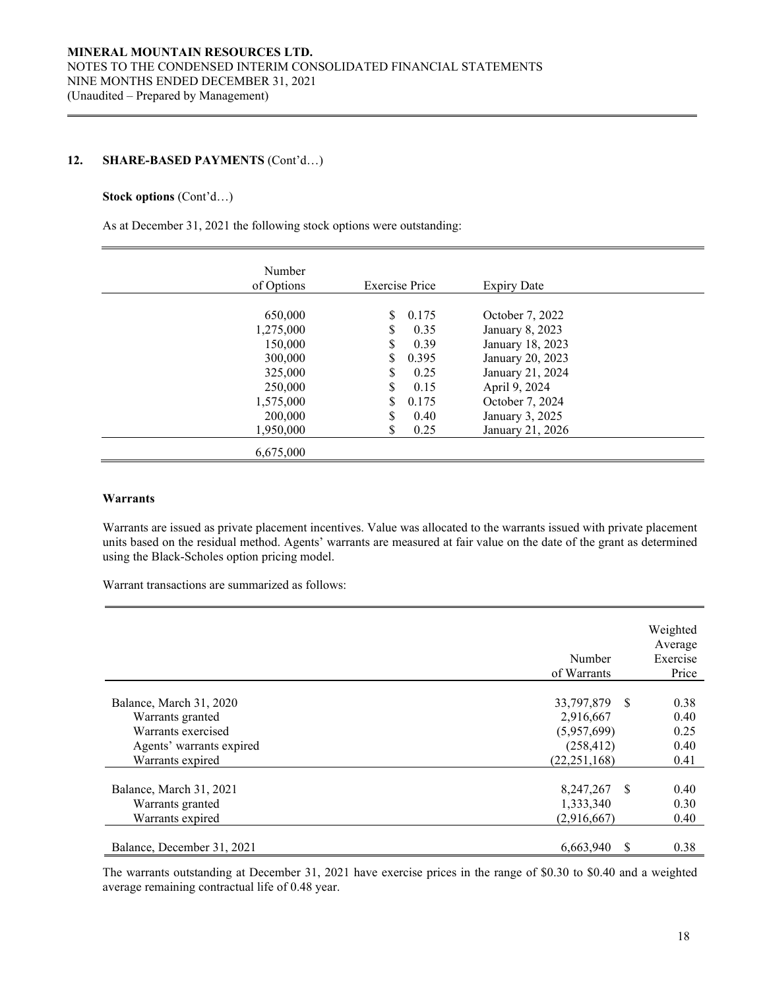### **12. SHARE-BASED PAYMENTS** (Cont'd…)

### **Stock options** (Cont'd…)

As at December 31, 2021 the following stock options were outstanding:

| Number<br>of Options                                             | <b>Exercise Price</b>                                                             | <b>Expiry Date</b>                                                                                              |  |
|------------------------------------------------------------------|-----------------------------------------------------------------------------------|-----------------------------------------------------------------------------------------------------------------|--|
| 650,000<br>1,275,000<br>150,000<br>300,000<br>325,000<br>250,000 | S<br>0.175<br>\$<br>0.35<br>\$<br>0.39<br>\$<br>0.395<br>\$<br>0.25<br>\$<br>0.15 | October 7, 2022<br>January 8, 2023<br>January 18, 2023<br>January 20, 2023<br>January 21, 2024<br>April 9, 2024 |  |
| 1,575,000<br>200,000<br>1,950,000<br>6,675,000                   | \$<br>0.175<br>\$<br>0.40<br>\$<br>0.25                                           | October 7, 2024<br>January 3, 2025<br>January 21, 2026                                                          |  |

### **Warrants**

Warrants are issued as private placement incentives. Value was allocated to the warrants issued with private placement units based on the residual method. Agents' warrants are measured at fair value on the date of the grant as determined using the Black-Scholes option pricing model.

Warrant transactions are summarized as follows:

|                            | Number<br>of Warrants | Weighted<br>Average<br>Exercise<br>Price |
|----------------------------|-----------------------|------------------------------------------|
|                            |                       |                                          |
| Balance, March 31, 2020    | 33,797,879 \$         | 0.38                                     |
| Warrants granted           | 2,916,667             | 0.40                                     |
| Warrants exercised         | (5,957,699)           | 0.25                                     |
| Agents' warrants expired   | (258, 412)            | 0.40                                     |
| Warrants expired           | (22, 251, 168)        | 0.41                                     |
|                            |                       |                                          |
| Balance, March 31, 2021    | 8,247,267<br>-S       | 0.40                                     |
| Warrants granted           | 1,333,340             | 0.30                                     |
| Warrants expired           | (2,916,667)           | 0.40                                     |
|                            |                       |                                          |
| Balance, December 31, 2021 | 6,663,940<br>S        | 0.38                                     |

The warrants outstanding at December 31, 2021 have exercise prices in the range of \$0.30 to \$0.40 and a weighted average remaining contractual life of 0.48 year.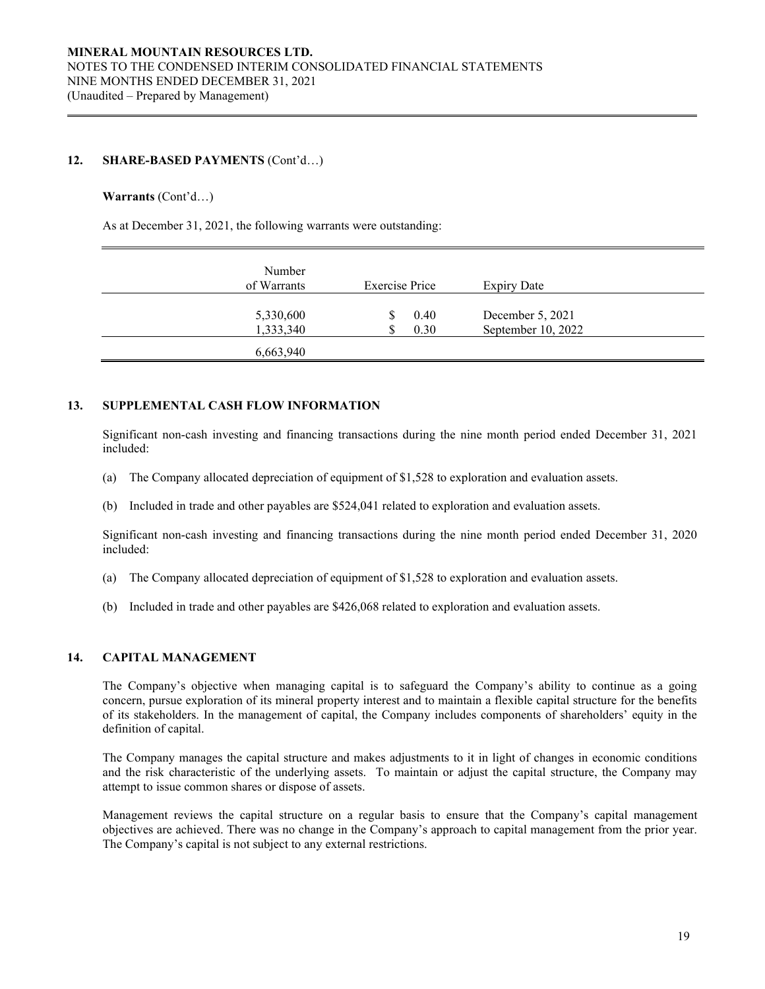### **12. SHARE-BASED PAYMENTS** (Cont'd…)

### **Warrants** (Cont'd…)

As at December 31, 2021, the following warrants were outstanding:

| Number<br>of Warrants  | <b>Exercise Price</b> | Expiry Date                            |  |
|------------------------|-----------------------|----------------------------------------|--|
| 5,330,600<br>1,333,340 | 0.40<br>0.30          | December 5, 2021<br>September 10, 2022 |  |
| 6,663,940              |                       |                                        |  |

### **13. SUPPLEMENTAL CASH FLOW INFORMATION**

Significant non-cash investing and financing transactions during the nine month period ended December 31, 2021 included:

- (a) The Company allocated depreciation of equipment of \$1,528 to exploration and evaluation assets.
- (b) Included in trade and other payables are \$524,041 related to exploration and evaluation assets.

Significant non-cash investing and financing transactions during the nine month period ended December 31, 2020 included:

- (a) The Company allocated depreciation of equipment of \$1,528 to exploration and evaluation assets.
- (b) Included in trade and other payables are \$426,068 related to exploration and evaluation assets.

### **14. CAPITAL MANAGEMENT**

The Company's objective when managing capital is to safeguard the Company's ability to continue as a going concern, pursue exploration of its mineral property interest and to maintain a flexible capital structure for the benefits of its stakeholders. In the management of capital, the Company includes components of shareholders' equity in the definition of capital.

The Company manages the capital structure and makes adjustments to it in light of changes in economic conditions and the risk characteristic of the underlying assets. To maintain or adjust the capital structure, the Company may attempt to issue common shares or dispose of assets.

Management reviews the capital structure on a regular basis to ensure that the Company's capital management objectives are achieved. There was no change in the Company's approach to capital management from the prior year. The Company's capital is not subject to any external restrictions.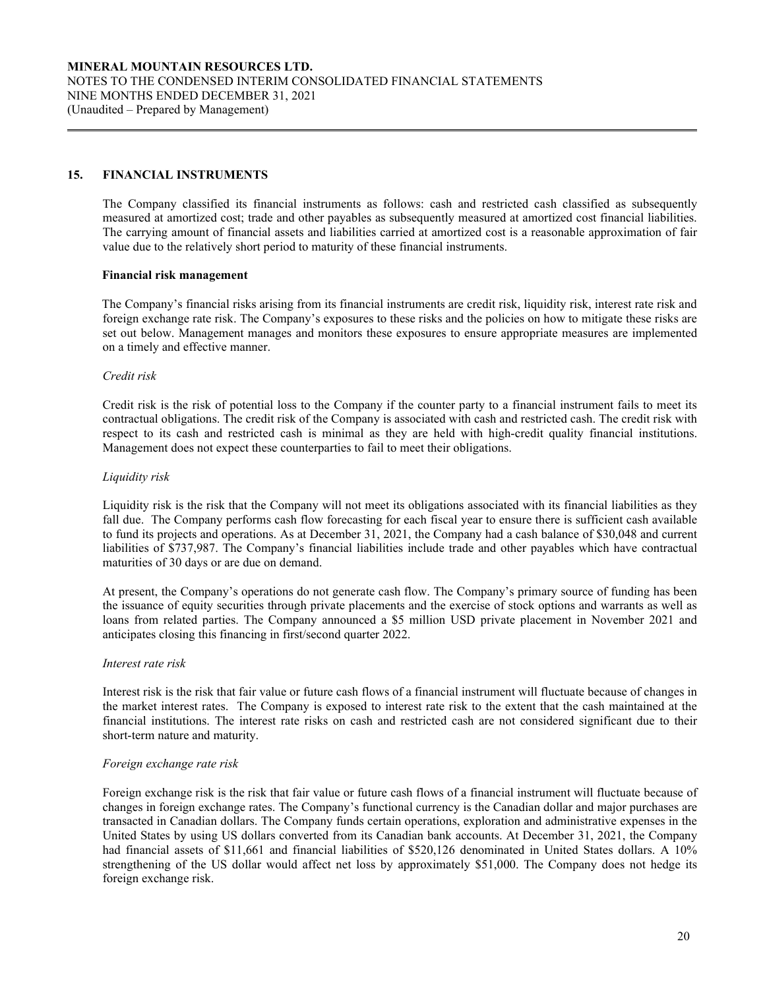### **15. FINANCIAL INSTRUMENTS**

The Company classified its financial instruments as follows: cash and restricted cash classified as subsequently measured at amortized cost; trade and other payables as subsequently measured at amortized cost financial liabilities. The carrying amount of financial assets and liabilities carried at amortized cost is a reasonable approximation of fair value due to the relatively short period to maturity of these financial instruments.

### **Financial risk management**

The Company's financial risks arising from its financial instruments are credit risk, liquidity risk, interest rate risk and foreign exchange rate risk. The Company's exposures to these risks and the policies on how to mitigate these risks are set out below. Management manages and monitors these exposures to ensure appropriate measures are implemented on a timely and effective manner.

### *Credit risk*

Credit risk is the risk of potential loss to the Company if the counter party to a financial instrument fails to meet its contractual obligations. The credit risk of the Company is associated with cash and restricted cash. The credit risk with respect to its cash and restricted cash is minimal as they are held with high-credit quality financial institutions. Management does not expect these counterparties to fail to meet their obligations.

### *Liquidity risk*

Liquidity risk is the risk that the Company will not meet its obligations associated with its financial liabilities as they fall due. The Company performs cash flow forecasting for each fiscal year to ensure there is sufficient cash available to fund its projects and operations. As at December 31, 2021, the Company had a cash balance of \$30,048 and current liabilities of \$737,987. The Company's financial liabilities include trade and other payables which have contractual maturities of 30 days or are due on demand.

At present, the Company's operations do not generate cash flow. The Company's primary source of funding has been the issuance of equity securities through private placements and the exercise of stock options and warrants as well as loans from related parties. The Company announced a \$5 million USD private placement in November 2021 and anticipates closing this financing in first/second quarter 2022.

### *Interest rate risk*

Interest risk is the risk that fair value or future cash flows of a financial instrument will fluctuate because of changes in the market interest rates. The Company is exposed to interest rate risk to the extent that the cash maintained at the financial institutions. The interest rate risks on cash and restricted cash are not considered significant due to their short-term nature and maturity.

### *Foreign exchange rate risk*

Foreign exchange risk is the risk that fair value or future cash flows of a financial instrument will fluctuate because of changes in foreign exchange rates. The Company's functional currency is the Canadian dollar and major purchases are transacted in Canadian dollars. The Company funds certain operations, exploration and administrative expenses in the United States by using US dollars converted from its Canadian bank accounts. At December 31, 2021, the Company had financial assets of \$11,661 and financial liabilities of \$520,126 denominated in United States dollars. A 10% strengthening of the US dollar would affect net loss by approximately \$51,000. The Company does not hedge its foreign exchange risk.